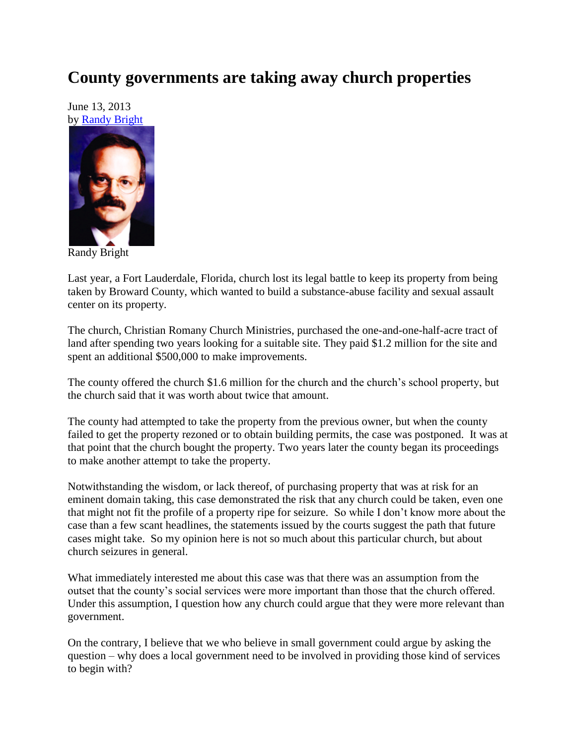## **County governments are taking away church properties**

June 13, 2013 by [Randy Bright](http://tulsabeacon.com/writers/randy-bright/)



Randy Bright

Last year, a Fort Lauderdale, Florida, church lost its legal battle to keep its property from being taken by Broward County, which wanted to build a substance-abuse facility and sexual assault center on its property.

The church, Christian Romany Church Ministries, purchased the one-and-one-half-acre tract of land after spending two years looking for a suitable site. They paid \$1.2 million for the site and spent an additional \$500,000 to make improvements.

The county offered the church \$1.6 million for the church and the church's school property, but the church said that it was worth about twice that amount.

The county had attempted to take the property from the previous owner, but when the county failed to get the property rezoned or to obtain building permits, the case was postponed. It was at that point that the church bought the property. Two years later the county began its proceedings to make another attempt to take the property.

Notwithstanding the wisdom, or lack thereof, of purchasing property that was at risk for an eminent domain taking, this case demonstrated the risk that any church could be taken, even one that might not fit the profile of a property ripe for seizure. So while I don't know more about the case than a few scant headlines, the statements issued by the courts suggest the path that future cases might take. So my opinion here is not so much about this particular church, but about church seizures in general.

What immediately interested me about this case was that there was an assumption from the outset that the county's social services were more important than those that the church offered. Under this assumption, I question how any church could argue that they were more relevant than government.

On the contrary, I believe that we who believe in small government could argue by asking the question – why does a local government need to be involved in providing those kind of services to begin with?